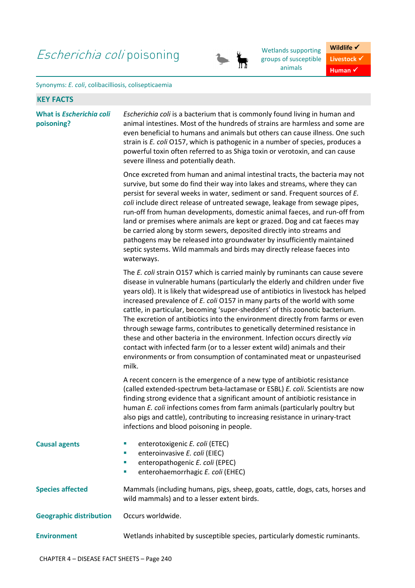## Escherichia coli poisoning<br>
Wetlands supporting<br>
The sroups of susceptible



groups of susceptible animals

**Wildlife** √ **Livestock**  $\checkmark$ **Human** ✔

## Synonyms: *E. coli*, colibacilliosis, colisepticaemia

| <b>KEY FACTS</b>                              |                                                                                                                                                                                                                                                                                                                                                                                                                                                                                                                                                                                                                                                                                                                                                                                                                                 |
|-----------------------------------------------|---------------------------------------------------------------------------------------------------------------------------------------------------------------------------------------------------------------------------------------------------------------------------------------------------------------------------------------------------------------------------------------------------------------------------------------------------------------------------------------------------------------------------------------------------------------------------------------------------------------------------------------------------------------------------------------------------------------------------------------------------------------------------------------------------------------------------------|
| What is <i>Escherichia coli</i><br>poisoning? | Escherichia coli is a bacterium that is commonly found living in human and<br>animal intestines. Most of the hundreds of strains are harmless and some are<br>even beneficial to humans and animals but others can cause illness. One such<br>strain is E. coli 0157, which is pathogenic in a number of species, produces a<br>powerful toxin often referred to as Shiga toxin or verotoxin, and can cause<br>severe illness and potentially death.                                                                                                                                                                                                                                                                                                                                                                            |
|                                               | Once excreted from human and animal intestinal tracts, the bacteria may not<br>survive, but some do find their way into lakes and streams, where they can<br>persist for several weeks in water, sediment or sand. Frequent sources of E.<br>coli include direct release of untreated sewage, leakage from sewage pipes,<br>run-off from human developments, domestic animal faeces, and run-off from<br>land or premises where animals are kept or grazed. Dog and cat faeces may<br>be carried along by storm sewers, deposited directly into streams and<br>pathogens may be released into groundwater by insufficiently maintained<br>septic systems. Wild mammals and birds may directly release faeces into<br>waterways.                                                                                                 |
|                                               | The E. coli strain O157 which is carried mainly by ruminants can cause severe<br>disease in vulnerable humans (particularly the elderly and children under five<br>years old). It is likely that widespread use of antibiotics in livestock has helped<br>increased prevalence of E. coli O157 in many parts of the world with some<br>cattle, in particular, becoming 'super-shedders' of this zoonotic bacterium.<br>The excretion of antibiotics into the environment directly from farms or even<br>through sewage farms, contributes to genetically determined resistance in<br>these and other bacteria in the environment. Infection occurs directly via<br>contact with infected farm (or to a lesser extent wild) animals and their<br>environments or from consumption of contaminated meat or unpasteurised<br>milk. |
|                                               | A recent concern is the emergence of a new type of antibiotic resistance<br>(called extended-spectrum beta-lactamase or ESBL) E. coli. Scientists are now<br>finding strong evidence that a significant amount of antibiotic resistance in<br>human E. coli infections comes from farm animals (particularly poultry but<br>also pigs and cattle), contributing to increasing resistance in urinary-tract<br>infections and blood poisoning in people.                                                                                                                                                                                                                                                                                                                                                                          |
| <b>Causal agents</b>                          | enterotoxigenic E. coli (ETEC)<br>ш<br>enteroinvasive E. coli (EIEC)<br>ш<br>enteropathogenic E. coli (EPEC)<br>ш<br>enterohaemorrhagic E. coli (EHEC)<br>ш                                                                                                                                                                                                                                                                                                                                                                                                                                                                                                                                                                                                                                                                     |
| <b>Species affected</b>                       | Mammals (including humans, pigs, sheep, goats, cattle, dogs, cats, horses and<br>wild mammals) and to a lesser extent birds.                                                                                                                                                                                                                                                                                                                                                                                                                                                                                                                                                                                                                                                                                                    |
| <b>Geographic distribution</b>                | Occurs worldwide.                                                                                                                                                                                                                                                                                                                                                                                                                                                                                                                                                                                                                                                                                                                                                                                                               |
| <b>Environment</b>                            | Wetlands inhabited by susceptible species, particularly domestic ruminants.                                                                                                                                                                                                                                                                                                                                                                                                                                                                                                                                                                                                                                                                                                                                                     |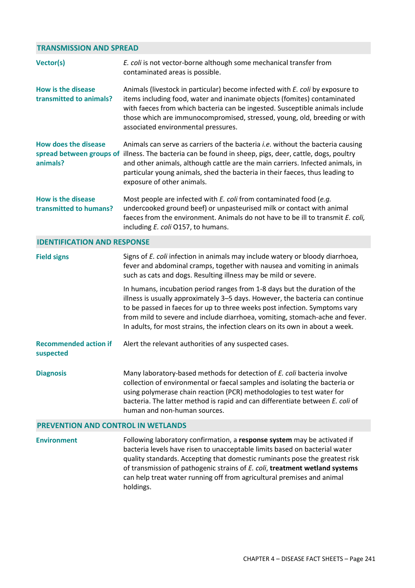## **TRANSMISSION AND SPREAD**

| Vector(s)                                            | E. coli is not vector-borne although some mechanical transfer from<br>contaminated areas is possible.                                                                                                                                                                                                                                                                                                     |
|------------------------------------------------------|-----------------------------------------------------------------------------------------------------------------------------------------------------------------------------------------------------------------------------------------------------------------------------------------------------------------------------------------------------------------------------------------------------------|
| <b>How is the disease</b><br>transmitted to animals? | Animals (livestock in particular) become infected with E. coli by exposure to<br>items including food, water and inanimate objects (fomites) contaminated<br>with faeces from which bacteria can be ingested. Susceptible animals include<br>those which are immunocompromised, stressed, young, old, breeding or with<br>associated environmental pressures.                                             |
| <b>How does the disease</b><br>animals?              | Animals can serve as carriers of the bacteria <i>i.e.</i> without the bacteria causing<br>spread between groups of illness. The bacteria can be found in sheep, pigs, deer, cattle, dogs, poultry<br>and other animals, although cattle are the main carriers. Infected animals, in<br>particular young animals, shed the bacteria in their faeces, thus leading to<br>exposure of other animals.         |
| <b>How is the disease</b><br>transmitted to humans?  | Most people are infected with E. coli from contaminated food (e.g.<br>undercooked ground beef) or unpasteurised milk or contact with animal<br>faeces from the environment. Animals do not have to be ill to transmit E. coli,<br>including E. coli O157, to humans.                                                                                                                                      |
| <b>IDENTIFICATION AND RESPONSE</b>                   |                                                                                                                                                                                                                                                                                                                                                                                                           |
| <b>Field signs</b>                                   | Signs of E. coli infection in animals may include watery or bloody diarrhoea,<br>fever and abdominal cramps, together with nausea and vomiting in animals<br>such as cats and dogs. Resulting illness may be mild or severe.                                                                                                                                                                              |
|                                                      | In humans, incubation period ranges from 1-8 days but the duration of the<br>illness is usually approximately 3-5 days. However, the bacteria can continue<br>to be passed in faeces for up to three weeks post infection. Symptoms vary<br>from mild to severe and include diarrhoea, vomiting, stomach-ache and fever.<br>In adults, for most strains, the infection clears on its own in about a week. |
| <b>Recommended action if</b><br>suspected            | Alert the relevant authorities of any suspected cases.                                                                                                                                                                                                                                                                                                                                                    |
| <b>Diagnosis</b>                                     | Many laboratory-based methods for detection of E. coli bacteria involve<br>collection of environmental or faecal samples and isolating the bacteria or<br>using polymerase chain reaction (PCR) methodologies to test water for<br>bacteria. The latter method is rapid and can differentiate between E. coli of<br>human and non-human sources.                                                          |
| PREVENTION AND CONTROL IN WETLANDS                   |                                                                                                                                                                                                                                                                                                                                                                                                           |
| <b>Environment</b>                                   | Following laboratory confirmation, a response system may be activated if                                                                                                                                                                                                                                                                                                                                  |

bacteria levels have risen to unacceptable limits based on bacterial water quality standards. Accepting that domestic ruminants pose the greatest risk of transmission of pathogenic strains of *E. coli*, **treatment wetland systems** can help treat water running off from agricultural premises and animal holdings.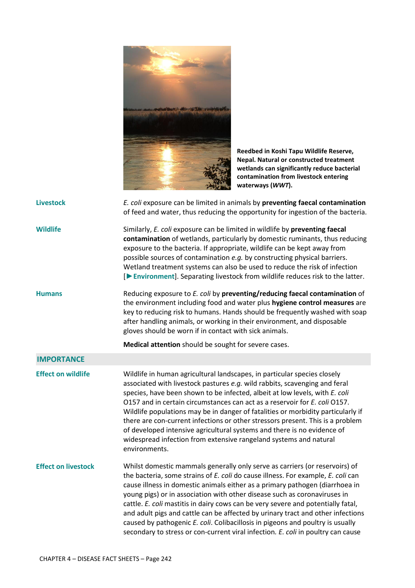

**Reedbed in Koshi Tapu Wildlife Reserve, Nepal. Natural or constructed treatment wetlands can significantly reduce bacterial contamination from livestock entering waterways (***WWT***).** 

| <b>Livestock</b>           | E. coli exposure can be limited in animals by preventing faecal contamination<br>of feed and water, thus reducing the opportunity for ingestion of the bacteria.                                                                                                                                                                                                                                                                                                                                                                                                                                                                                                          |
|----------------------------|---------------------------------------------------------------------------------------------------------------------------------------------------------------------------------------------------------------------------------------------------------------------------------------------------------------------------------------------------------------------------------------------------------------------------------------------------------------------------------------------------------------------------------------------------------------------------------------------------------------------------------------------------------------------------|
| <b>Wildlife</b>            | Similarly, E. coli exposure can be limited in wildlife by preventing faecal<br>contamination of wetlands, particularly by domestic ruminants, thus reducing<br>exposure to the bacteria. If appropriate, wildlife can be kept away from<br>possible sources of contamination e.g. by constructing physical barriers.<br>Wetland treatment systems can also be used to reduce the risk of infection<br>[Determinant]. Separating livestock from wildlife reduces risk to the latter.                                                                                                                                                                                       |
| <b>Humans</b>              | Reducing exposure to E. coli by preventing/reducing faecal contamination of<br>the environment including food and water plus hygiene control measures are<br>key to reducing risk to humans. Hands should be frequently washed with soap<br>after handling animals, or working in their environment, and disposable<br>gloves should be worn if in contact with sick animals.                                                                                                                                                                                                                                                                                             |
|                            | Medical attention should be sought for severe cases.                                                                                                                                                                                                                                                                                                                                                                                                                                                                                                                                                                                                                      |
| <b>IMPORTANCE</b>          |                                                                                                                                                                                                                                                                                                                                                                                                                                                                                                                                                                                                                                                                           |
| <b>Effect on wildlife</b>  | Wildlife in human agricultural landscapes, in particular species closely<br>associated with livestock pastures e.g. wild rabbits, scavenging and feral<br>species, have been shown to be infected, albeit at low levels, with E. coli<br>O157 and in certain circumstances can act as a reservoir for E. coli O157.<br>Wildlife populations may be in danger of fatalities or morbidity particularly if<br>there are con-current infections or other stressors present. This is a problem<br>of developed intensive agricultural systems and there is no evidence of<br>widespread infection from extensive rangeland systems and natural<br>environments.                |
| <b>Effect on livestock</b> | Whilst domestic mammals generally only serve as carriers (or reservoirs) of<br>the bacteria, some strains of E. coli do cause illness. For example, E. coli can<br>cause illness in domestic animals either as a primary pathogen (diarrhoea in<br>young pigs) or in association with other disease such as coronaviruses in<br>cattle. E. coli mastitis in dairy cows can be very severe and potentially fatal,<br>and adult pigs and cattle can be affected by urinary tract and other infections<br>caused by pathogenic E. coli. Colibacillosis in pigeons and poultry is usually<br>secondary to stress or con-current viral infection. E. coli in poultry can cause |